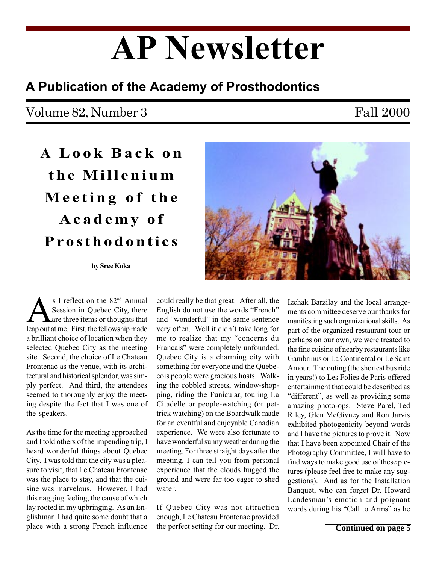# AP Newsletter

## A Publication of the Academy of Prosthodontics

## Volume 82, Number 3

### Fall 2000

A Look Back on the Millenium Meeting of the Academy of Prosthodontics

#### by Sree Koka

s I reflect on the 82<sup>nd</sup> Annual Session in Quebec City, there are three items or thoughts that leap out at me. First, the fellowship made a brilliant choice of location when they selected Quebec City as the meeting site. Second, the choice of Le Chateau Frontenac as the venue, with its architectural and historical splendor, was simply perfect. And third, the attendees seemed to thoroughly enjoy the meeting despite the fact that I was one of the speakers.

As the time for the meeting approached and I told others of the impending trip, I heard wonderful things about Quebec City. I was told that the city was a pleasure to visit, that Le Chateau Frontenac was the place to stay, and that the cuisine was marvelous. However, I had this nagging feeling, the cause of which lay rooted in my upbringing. As an Englishman I had quite some doubt that a place with a strong French influence

could really be that great. After all, the English do not use the words "French" and "wonderful" in the same sentence very often. Well it didn't take long for me to realize that my "concerns du Francais" were completely unfounded. Quebec City is a charming city with something for everyone and the Quebecois people were gracious hosts. Walking the cobbled streets, window-shopping, riding the Funicular, touring La Citadelle or people-watching (or pettrick watching) on the Boardwalk made for an eventful and enjoyable Canadian experience. We were also fortunate to have wonderful sunny weather during the meeting. For three straight days after the meeting, I can tell you from personal experience that the clouds hugged the ground and were far too eager to shed water.

If Quebec City was not attraction enough, Le Chateau Frontenac provided the perfect setting for our meeting. Dr. Izchak Barzilay and the local arrangements committee deserve our thanks for manifesting such organizational skills. As part of the organized restaurant tour or perhaps on our own, we were treated to the fine cuisine of nearby restaurants like Gambrinus or La Continental or Le Saint Amour. The outing (the shortest bus ride in years!) to Les Folies de Paris offered entertainment that could be described as "different", as well as providing some amazing photo-ops. Steve Parel, Ted Riley, Glen McGivney and Ron Jarvis exhibited photogenicity beyond words and I have the pictures to prove it. Now that I have been appointed Chair of the Photography Committee, I will have to find ways to make good use of these pictures (please feel free to make any suggestions). And as for the Installation Banquet, who can forget Dr. Howard Landesman's emotion and poignant words during his "Call to Arms" as he

**Continued on page 5**

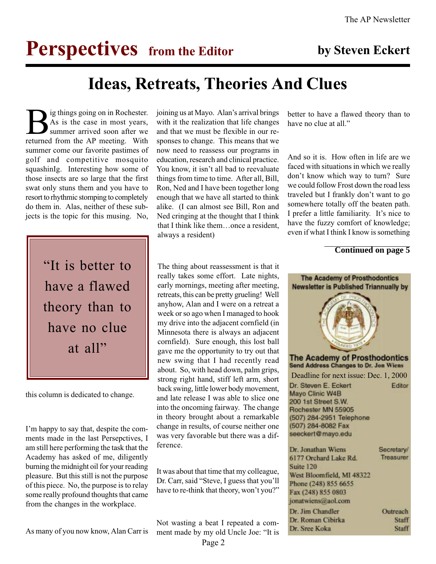# **Perspectives** from the Editor by Steven Eckert

# Ideas, Retreats, Theories And Clues

Big things going on in Rochester.<br>As is the case in most years,<br>summer arrived soon after we<br>returned from the AP meeting With As is the case in most years, summer arrived soon after we returned from the AP meeting. With summer come our favorite pastimes of golf and competitive mosquito squashinIg. Interesting how some of those insects are so large that the first swat only stuns them and you have to resort to rhythmic stomping to completely do them in. Alas, neither of these subjects is the topic for this musing. No,



this column is dedicated to change.

I'm happy to say that, despite the comments made in the last Persepctives, I am still here performing the task that the Academy has asked of me, diligently burning the midnight oil for your reading pleasure. But this still is not the purpose of this piece. No, the purpose is to relay some really profound thoughts that came from the changes in the workplace.

joining us at Mayo. Alan's arrival brings with it the realization that life changes and that we must be flexible in our responses to change. This means that we now need to reassess our programs in education, research and clinical practice. You know, it isn't all bad to reevaluate things from time to time. After all, Bill, Ron, Ned and I have been together long enough that we have all started to think alike. (I can almost see Bill, Ron and Ned cringing at the thought that I think that I think like them...once a resident, always a resident)

The thing about reassessment is that it really takes some effort. Late nights, early mornings, meeting after meeting, retreats, this can be pretty grueling! Well anyhow, Alan and I were on a retreat a week or so ago when I managed to hook my drive into the adjacent cornfield (in Minnesota there is always an adjacent cornfield). Sure enough, this lost ball gave me the opportunity to try out that new swing that I had recently read about. So, with head down, palm grips, strong right hand, stiff left arm, short back swing, little lower body movement, and late release I was able to slice one into the oncoming fairway. The change in theory brought about a remarkable change in results, of course neither one was very favorable but there was a difference.

It was about that time that my colleague, Dr. Carr, said "Steve, I guess that you'll have to re-think that theory, won't you?"

Not wasting a beat I repeated a comment made by my old Uncle Joe: "It is

Page 2

better to have a flawed theory than to have no clue at all."

And so it is. How often in life are we faced with situations in which we really don't know which way to turn? Sure we could follow Frost down the road less traveled but I frankly don't want to go somewhere totally off the beaten path. I prefer a little familiarity. It's nice to have the fuzzy comfort of knowledge; even if what I think I know is something

#### **Continued on page 5**



As many of you now know, Alan Carr is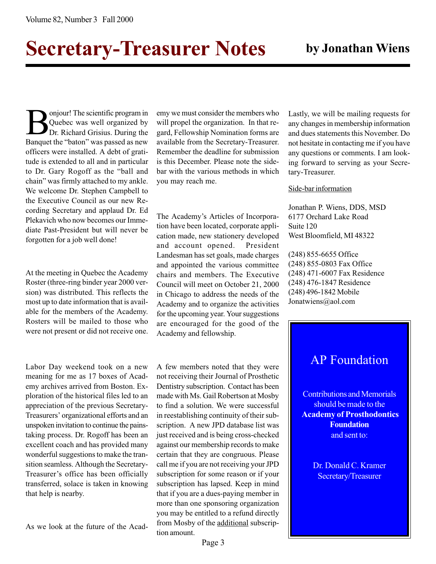# Secretary-Treasurer Notes by Jonathan Wiens

**Bonjour!** The scientific program in<br>Quebec was well organized by<br>Dr. Richard Grisius. During the Quebec was well organized by Dr. Richard Grisius. During the Banquet the "baton" was passed as new officers were installed. A debt of gratitude is extended to all and in particular to Dr. Gary Rogoff as the "ball and chain" was firmly attached to my ankle. We welcome Dr. Stephen Campbell to the Executive Council as our new Recording Secretary and applaud Dr. Ed Plekavich who now becomes our Immediate Past-President but will never be forgotten for a job well done!

At the meeting in Quebec the Academy Roster (three-ring binder year 2000 version) was distributed. This reflects the most up to date information that is available for the members of the Academy. Rosters will be mailed to those who were not present or did not receive one.

Labor Day weekend took on a new meaning for me as 17 boxes of Academy archives arrived from Boston. Exploration of the historical files led to an appreciation of the previous Secretary-Treasurers' organizational efforts and an unspoken invitation to continue the painstaking process. Dr. Rogoff has been an excellent coach and has provided many wonderful suggestions to make the transition seamless. Although the Secretary-Treasurer's office has been officially transferred, solace is taken in knowing that help is nearby.

As we look at the future of the Acad-

emy we must consider the members who will propel the organization. In that regard, Fellowship Nomination forms are available from the Secretary-Treasurer. Remember the deadline for submission is this December. Please note the sidebar with the various methods in which you may reach me.

The Academy's Articles of Incorporation have been located, corporate application made, new stationery developed and account opened. President Landesman has set goals, made charges and appointed the various committee chairs and members. The Executive Council will meet on October 21, 2000 in Chicago to address the needs of the Academy and to organize the activities for the upcoming year. Your suggestions are encouraged for the good of the Academy and fellowship.

A few members noted that they were not receiving their Journal of Prosthetic Dentistry subscription. Contact has been made with Ms. Gail Robertson at Mosby to find a solution. We were successful in reestablishing continuity of their subscription. A new JPD database list was just received and is being cross-checked against our membership records to make certain that they are congruous. Please call me if you are not receiving your JPD subscription for some reason or if your subscription has lapsed. Keep in mind that if you are a dues-paying member in more than one sponsoring organization you may be entitled to a refund directly from Mosby of the additional subscription amount.

Lastly, we will be mailing requests for any changes in membership information and dues statements this November. Do not hesitate in contacting me if you have any questions or comments. I am looking forward to serving as your Secretary-Treasurer.

#### Side-bar information

Jonathan P. Wiens, DDS, MSD 6177 Orchard Lake Road Suite 120 West Bloomfield, MI 48322

(248) 855-6655 Office (248) 855-0803 Fax Office (248) 471-6007 Fax Residence (248) 476-1847 Residence (248) 496-1842 Mobile Jonatwiens@aol.com

### AP Foundation

Contributions and Memorials should be made to the Academy of Prosthodontics **Foundation** and sent to:

> Dr. Donald C. Kramer Secretary/Treasurer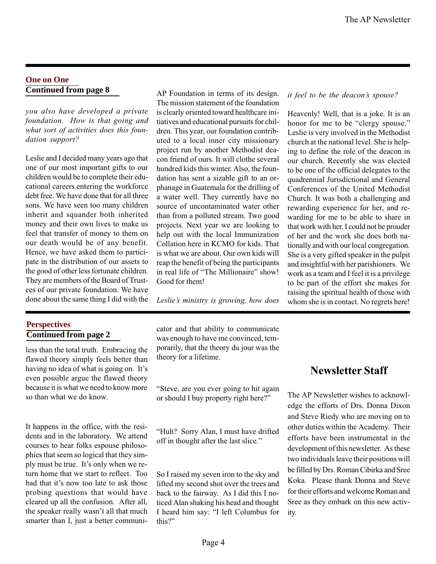#### **One on One Continued from page 8**

you also have developed a private foundation. How is that going and what sort of activities does this foundation support?

Leslie and I decided many years ago that one of our most important gifts to our children would be to complete their educational careers entering the workforce debt free. We have done that for all three sons. We have seen too many children inherit and squander both inherited money and their own lives to make us feel that transfer of money to them on our death would be of any benefit. Hence, we have asked them to participate in the distribution of our assets to the good of other less fortunate children. They are members of the Board of Trustees of our private foundation. We have done about the same thing I did with the

#### **Perspectives Continued from page 2**

less than the total truth. Embracing the flawed theory simply feels better than having no idea of what is going on. It's even possible argue the flawed theory because it is what we need to know more so than what we do know.

It happens in the office, with the residents and in the laboratory. We attend courses to hear folks espouse philosophies that seem so logical that they simply must be true. It's only when we return home that we start to reflect. Too bad that it's now too late to ask those probing questions that would have cleared up all the confusion. After all, the speaker really wasn't all that much smarter than I, just a better communi-

AP Foundation in terms of its design. The mission statement of the foundation is clearly oriented toward healthcare initiatives and educational pursuits for children. This year, our foundation contributed to a local inner city missionary project run by another Methodist deacon friend of ours. It will clothe several hundred kids this winter. Also, the foundation has sent a sizable gift to an orphanage in Guatemala for the drilling of a water well. They currently have no source of uncontaminated water other than from a polluted stream. Two good projects. Next year we are looking to help out with the local Immunization Collation here in KCMO for kids. That is what we are about. Our own kids will reap the benefit of being the participants in real life of "The Millionaire" show! Good for them!

Leslie's ministry is growing, how does

cator and that ability to communicate was enough to have me convinced, temporarily, that the theory du jour was the theory for a lifetime.

Steve, are you ever going to hit again or should I buy property right here?

Huh? Sorry Alan, I must have drifted off in thought after the last slice.

So I raised my seven iron to the sky and lifted my second shot over the trees and back to the fairway. As I did this I noticed Alan shaking his head and thought I heard him say: "I left Columbus for this?"

#### it feel to be the deacon's spouse?

Heavenly! Well, that is a joke. It is an honor for me to be "clergy spouse." Leslie is very involved in the Methodist church at the national level. She is helping to define the role of the deacon in our church. Recently she was elected to be one of the official delegates to the quadrennial Jurisdictional and General Conferences of the United Methodist Church. It was both a challenging and rewarding experience for her, and rewarding for me to be able to share in that work with her. I could not be prouder of her and the work she does both nationally and with our local congregation. She is a very gifted speaker in the pulpit and insightful with her parishioners. We work as a team and I feel it is a privilege to be part of the effort she makes for raising the spiritual health of those with whom she is in contact. No regrets here!

### Newsletter Staff

The AP Newsletter wishes to acknowledge the efforts of Drs. Donna Dixon and Steve Riedy who are moving on to other duties within the Academy. Their efforts have been instrumental in the development of this newsletter. As these two individuals leave their positions will be filled by Drs. Roman Cibirka and Sree Koka. Please thank Donna and Steve for their efforts and welcome Roman and Sree as they embark on this new activity.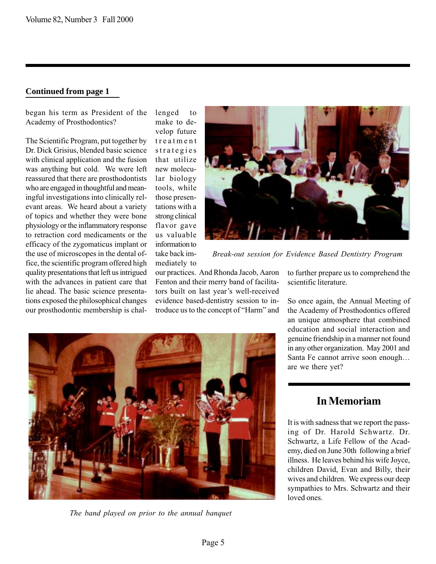#### **Continued from page 1**

began his term as President of the Academy of Prosthodontics?

The Scientific Program, put together by Dr. Dick Grisius, blended basic science with clinical application and the fusion was anything but cold. We were left reassured that there are prosthodontists who are engaged in thoughtful and meaningful investigations into clinically relevant areas. We heard about a variety of topics and whether they were bone physiology or the inflammatory response to retraction cord medicaments or the efficacy of the zygomaticus implant or the use of microscopes in the dental office, the scientific program offered high quality presentations that left us intrigued with the advances in patient care that lie ahead. The basic science presentations exposed the philosophical changes our prosthodontic membership is challenged to make to develop future treatment strategies that utilize new molecular biology tools, while those presentations with a strong clinical flavor gave us valuable information to take back immediately to



Break-out session for Evidence Based Dentistry Program

our practices. And Rhonda Jacob, Aaron Fenton and their merry band of facilitators built on last year's well-received evidence based-dentistry session to introduce us to the concept of "Harm" and to further prepare us to comprehend the scientific literature.

So once again, the Annual Meeting of the Academy of Prosthodontics offered an unique atmosphere that combined education and social interaction and genuine friendship in a manner not found in any other organization. May 2001 and Santa Fe cannot arrive soon enough... are we there yet?

The band played on prior to the annual banquet

### In Memoriam

It is with sadness that we report the passing of Dr. Harold Schwartz. Dr. Schwartz, a Life Fellow of the Academy, died on June 30th following a brief illness. He leaves behind his wife Joyce, children David, Evan and Billy, their wives and children. We express our deep sympathies to Mrs. Schwartz and their loved ones.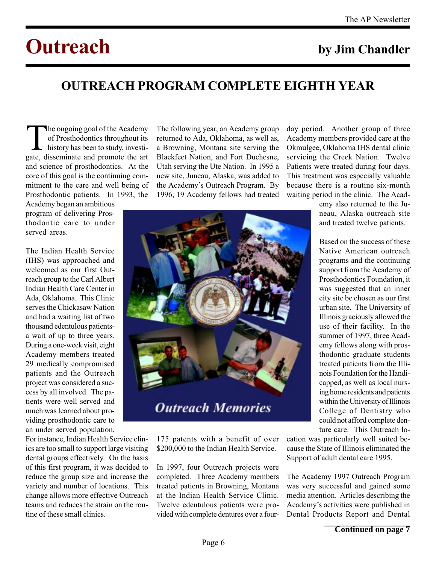# Outreach by Jim Chandler

# OUTREACH PROGRAM COMPLETE EIGHTH YEAR

The ongoing goal of the Academy<br>of Prosthodontics throughout its<br>history has been to study, investi-<br>gate disseminate and promote the art of Prosthodontics throughout its history has been to study, investigate, disseminate and promote the art and science of prosthodontics. At the core of this goal is the continuing commitment to the care and well being of Prosthodontic patients. In 1993, the

Academy began an ambitious program of delivering Prosthodontic care to under served areas.

The Indian Health Service (IHS) was approached and welcomed as our first Outreach group to the Carl Albert Indian Health Care Center in Ada, Oklahoma. This Clinic serves the Chickasaw Nation and had a waiting list of two thousand edentulous patientsa wait of up to three years. During a one-week visit, eight Academy members treated 29 medically compromised patients and the Outreach project was considered a success by all involved. The patients were well served and much was learned about providing prosthodontic care to an under served population.

For instance, Indian Health Service clinics are too small to support large visiting dental groups effectively. On the basis of this first program, it was decided to reduce the group size and increase the variety and number of locations. This change allows more effective Outreach teams and reduces the strain on the routine of these small clinics.

The following year, an Academy group returned to Ada, Oklahoma, as well as, a Browning, Montana site serving the Blackfeet Nation, and Fort Duchesne, Utah serving the Ute Nation. In 1995 a new site, Juneau, Alaska, was added to the Academy's Outreach Program. By 1996, 19 Academy fellows had treated day period. Another group of three Academy members provided care at the Okmulgee, Oklahoma IHS dental clinic servicing the Creek Nation. Twelve Patients were treated during four days. This treatment was especially valuable because there is a routine six-month waiting period in the clinic. The Acad-

> emy also returned to the Juneau, Alaska outreach site and treated twelve patients.

> Based on the success of these Native American outreach programs and the continuing support from the Academy of Prosthodontics Foundation, it was suggested that an inner city site be chosen as our first urban site. The University of Illinois graciously allowed the use of their facility. In the summer of 1997, three Academy fellows along with prosthodontic graduate students treated patients from the Illinois Foundation for the Handicapped, as well as local nursing home residents and patients within the University of Illinois College of Dentistry who could not afford complete denture care. This Outreach lo-

175 patents with a benefit of over \$200,000 to the Indian Health Service.

**Outreach Memories** 

In 1997, four Outreach projects were completed. Three Academy members treated patients in Browning, Montana at the Indian Health Service Clinic. Twelve edentulous patients were provided with complete dentures over a fourcation was particularly well suited because the State of Illinois eliminated the Support of adult dental care 1995.

The Academy 1997 Outreach Program was very successful and gained some media attention. Articles describing the Academy's activities were published in Dental Products Report and Dental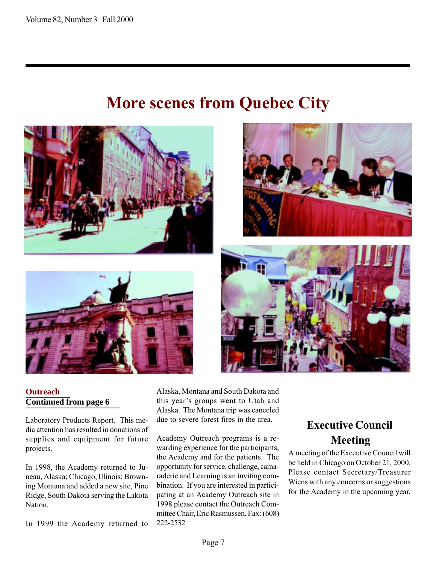# More scenes from Quebec City



#### **Outreach Continued from page 6**

Laboratory Products Report. This media attention has resulted in donations of supplies and equipment for future projects.

In 1998, the Academy returned to Juneau, Alaska; Chicago, Illinois; Browning Montana and added a new site, Pine Ridge, South Dakota serving the Lakota Nation.

In 1999 the Academy returned to

Alaska, Montana and South Dakota and this year's groups went to Utah and Alaska. The Montana trip was canceled due to severe forest fires in the area.

Academy Outreach programs is a rewarding experience for the participants, the Academy and for the patients. The opportunity for service, challenge, camaraderie and Learning is an inviting combination. If you are interested in participating at an Academy Outreach site in 1998 please contact the Outreach Committee Chair, Eric Rasmussen. Fax: (608) 222-2532

## Executive Council Meeting

A meeting of the Executive Council will be held in Chicago on October 21, 2000. Please contact Secretary/Treasurer Wiens with any concerns or suggestions for the Academy in the upcoming year.